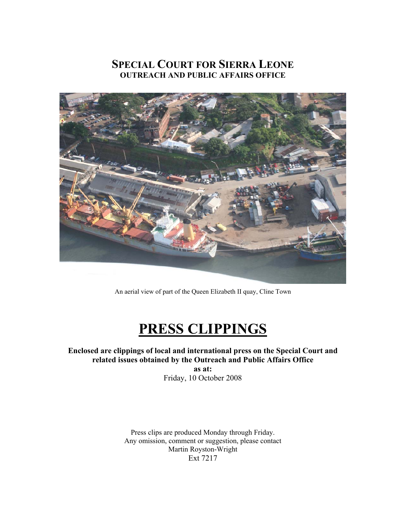### **SPECIAL COURT FOR SIERRA LEONE OUTREACH AND PUBLIC AFFAIRS OFFICE**



An aerial view of part of the Queen Elizabeth II quay, Cline Town

# **PRESS CLIPPINGS**

**Enclosed are clippings of local and international press on the Special Court and related issues obtained by the Outreach and Public Affairs Office as at:**  Friday, 10 October 2008

> Press clips are produced Monday through Friday. Any omission, comment or suggestion, please contact Martin Royston-Wright Ext 7217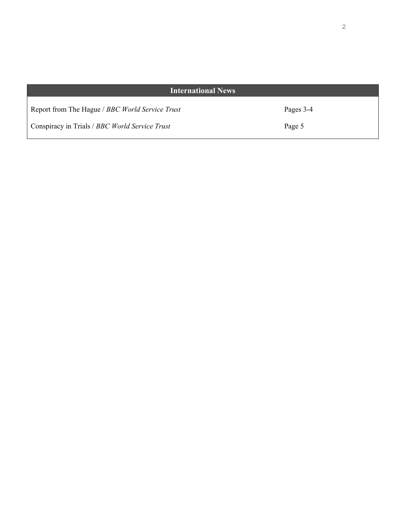| <b>International News</b>                       |           |
|-------------------------------------------------|-----------|
| Report from The Hague / BBC World Service Trust | Pages 3-4 |
| Conspiracy in Trials / BBC World Service Trust  | Page 5    |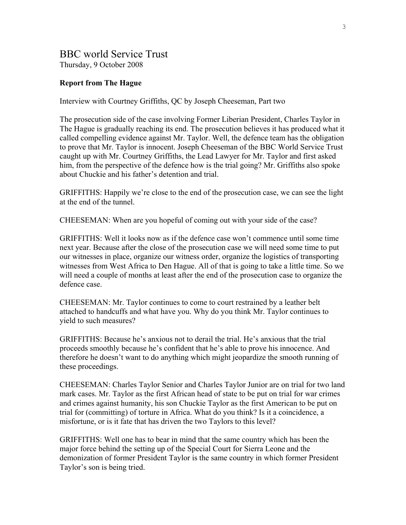#### BBC world Service Trust Thursday, 9 October 2008

#### **Report from The Hague**

Interview with Courtney Griffiths, QC by Joseph Cheeseman, Part two

The prosecution side of the case involving Former Liberian President, Charles Taylor in The Hague is gradually reaching its end. The prosecution believes it has produced what it called compelling evidence against Mr. Taylor. Well, the defence team has the obligation to prove that Mr. Taylor is innocent. Joseph Cheeseman of the BBC World Service Trust caught up with Mr. Courtney Griffiths, the Lead Lawyer for Mr. Taylor and first asked him, from the perspective of the defence how is the trial going? Mr. Griffiths also spoke about Chuckie and his father's detention and trial.

GRIFFITHS: Happily we're close to the end of the prosecution case, we can see the light at the end of the tunnel.

CHEESEMAN: When are you hopeful of coming out with your side of the case?

GRIFFITHS: Well it looks now as if the defence case won't commence until some time next year. Because after the close of the prosecution case we will need some time to put our witnesses in place, organize our witness order, organize the logistics of transporting witnesses from West Africa to Den Hague. All of that is going to take a little time. So we will need a couple of months at least after the end of the prosecution case to organize the defence case.

CHEESEMAN: Mr. Taylor continues to come to court restrained by a leather belt attached to handcuffs and what have you. Why do you think Mr. Taylor continues to yield to such measures?

GRIFFITHS: Because he's anxious not to derail the trial. He's anxious that the trial proceeds smoothly because he's confident that he's able to prove his innocence. And therefore he doesn't want to do anything which might jeopardize the smooth running of these proceedings.

CHEESEMAN: Charles Taylor Senior and Charles Taylor Junior are on trial for two land mark cases. Mr. Taylor as the first African head of state to be put on trial for war crimes and crimes against humanity, his son Chuckie Taylor as the first American to be put on trial for (committing) of torture in Africa. What do you think? Is it a coincidence, a misfortune, or is it fate that has driven the two Taylors to this level?

GRIFFITHS: Well one has to bear in mind that the same country which has been the major force behind the setting up of the Special Court for Sierra Leone and the demonization of former President Taylor is the same country in which former President Taylor's son is being tried.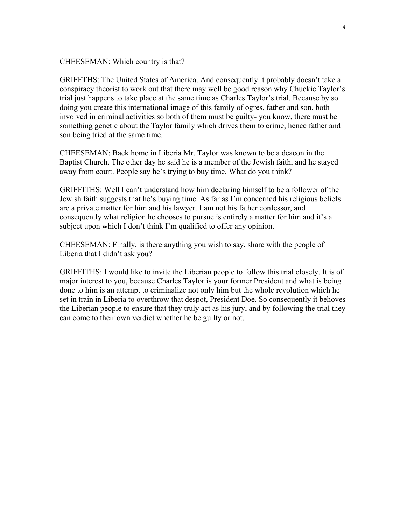#### CHEESEMAN: Which country is that?

GRIFFTHS: The United States of America. And consequently it probably doesn't take a conspiracy theorist to work out that there may well be good reason why Chuckie Taylor's trial just happens to take place at the same time as Charles Taylor's trial. Because by so doing you create this international image of this family of ogres, father and son, both involved in criminal activities so both of them must be guilty- you know, there must be something genetic about the Taylor family which drives them to crime, hence father and son being tried at the same time.

CHEESEMAN: Back home in Liberia Mr. Taylor was known to be a deacon in the Baptist Church. The other day he said he is a member of the Jewish faith, and he stayed away from court. People say he's trying to buy time. What do you think?

GRIFFITHS: Well I can't understand how him declaring himself to be a follower of the Jewish faith suggests that he's buying time. As far as I'm concerned his religious beliefs are a private matter for him and his lawyer. I am not his father confessor, and consequently what religion he chooses to pursue is entirely a matter for him and it's a subject upon which I don't think I'm qualified to offer any opinion.

CHEESEMAN: Finally, is there anything you wish to say, share with the people of Liberia that I didn't ask you?

GRIFFITHS: I would like to invite the Liberian people to follow this trial closely. It is of major interest to you, because Charles Taylor is your former President and what is being done to him is an attempt to criminalize not only him but the whole revolution which he set in train in Liberia to overthrow that despot, President Doe. So consequently it behoves the Liberian people to ensure that they truly act as his jury, and by following the trial they can come to their own verdict whether he be guilty or not.